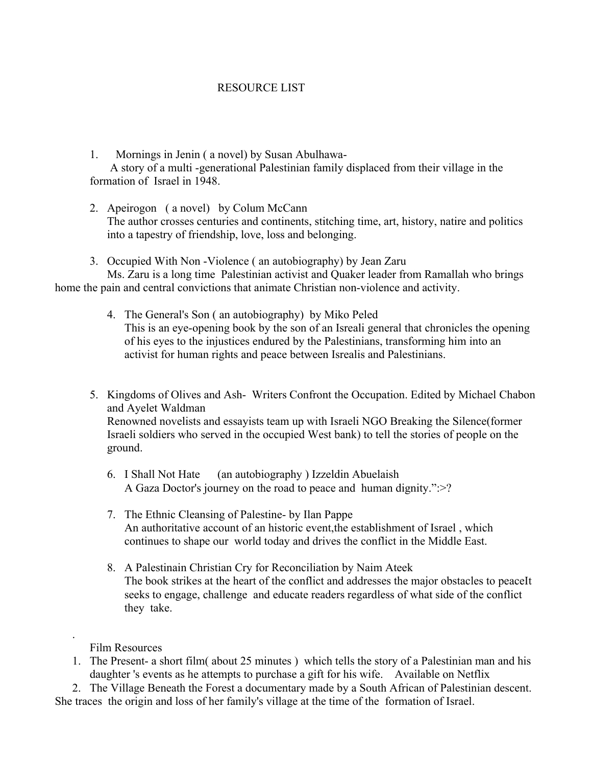## RESOURCE LIST

1. Mornings in Jenin ( a novel) by Susan Abulhawa-

 A story of a multi -generational Palestinian family displaced from their village in the formation of Israel in 1948.

- 2. Apeirogon ( a novel) by Colum McCann The author crosses centuries and continents, stitching time, art, history, natire and politics into a tapestry of friendship, love, loss and belonging.
- 3. Occupied With Non -Violence ( an autobiography) by Jean Zaru Ms. Zaru is a long time Palestinian activist and Quaker leader from Ramallah who brings home the pain and central convictions that animate Christian non-violence and activity.
	- 4. The General's Son ( an autobiography) by Miko Peled This is an eye-opening book by the son of an Isreali general that chronicles the opening of his eyes to the injustices endured by the Palestinians, transforming him into an activist for human rights and peace between Isrealis and Palestinians.
	- 5. Kingdoms of Olives and Ash- Writers Confront the Occupation. Edited by Michael Chabon and Ayelet Waldman Renowned novelists and essayists team up with Israeli NGO Breaking the Silence(former Israeli soldiers who served in the occupied West bank) to tell the stories of people on the ground.
		- 6. I Shall Not Hate (an autobiography ) Izzeldin Abuelaish A Gaza Doctor's journey on the road to peace and human dignity.":>?
		- 7. The Ethnic Cleansing of Palestine- by Ilan Pappe An authoritative account of an historic event,the establishment of Israel , which continues to shape our world today and drives the conflict in the Middle East.
		- 8. A Palestinain Christian Cry for Reconciliation by Naim Ateek The book strikes at the heart of the conflict and addresses the major obstacles to peaceIt seeks to engage, challenge and educate readers regardless of what side of the conflict they take.

Film Resources

.

1. The Present- a short film( about 25 minutes ) which tells the story of a Palestinian man and his daughter 's events as he attempts to purchase a gift for his wife. Available on Netflix

 2. The Village Beneath the Forest a documentary made by a South African of Palestinian descent. She traces the origin and loss of her family's village at the time of the formation of Israel.